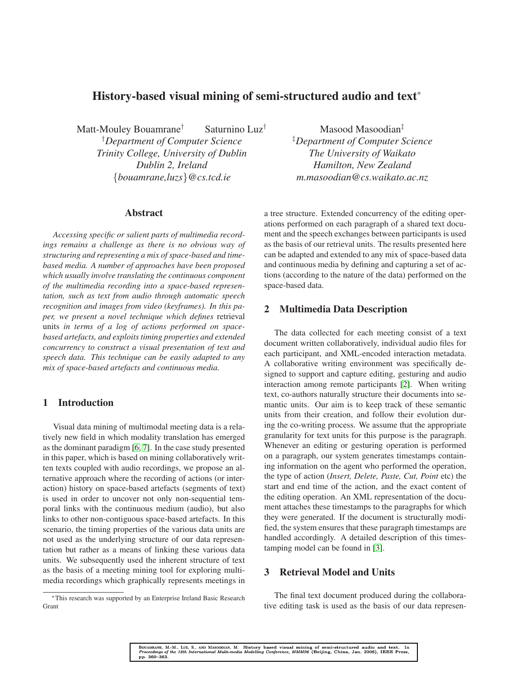# **History-based visual mining of semi-structured audio and text**<sup>∗</sup>

Matt-Mouley Bouamrane† Saturnino Luz†

†*Department of Computer Science Trinity College, University of Dublin Dublin 2, Ireland* {*bouamrane,luzs*}*@cs.tcd.ie*

#### **Abstract**

*Accessing specific or salient parts of multimedia recordings remains a challenge as there is no obvious way of structuring and representing a mix of space-based and timebased media. A number of approaches have been proposed which usually involve translating the continuous component of the multimedia recording into a space-based representation, such as text from audio through automatic speech recognition and images from video (keyframes). In this paper, we present a novel technique which defines* retrieval units *in terms of a log of actions performed on spacebased artefacts, and exploits timing properties and extended concurrency to construct a visual presentation of text and speech data. This technique can be easily adapted to any mix of space-based artefacts and continuous media.*

## **1 Introduction**

Visual data mining of multimodal meeting data is a relatively new field in which modality translation has emerged as the dominant paradigm [\[6,](#page-3-0) [7\]](#page-3-1). In the case study presented in this paper, which is based on mining collaboratively written texts coupled with audio recordings, we propose an alternative approach where the recording of actions (or interaction) history on space-based artefacts (segments of text) is used in order to uncover not only non-sequential temporal links with the continuous medium (audio), but also links to other non-contiguous space-based artefacts. In this scenario, the timing properties of the various data units are not used as the underlying structure of our data representation but rather as a means of linking these various data units. We subsequently used the inherent structure of text as the basis of a meeting mining tool for exploring multimedia recordings which graphically represents meetings in

Masood Masoodian<sup>‡</sup> ‡*Department of Computer Science The University of Waikato Hamilton, New Zealand m.masoodian@cs.waikato.ac.nz*

a tree structure. Extended concurrency of the editing operations performed on each paragraph of a shared text document and the speech exchanges between participants is used as the basis of our retrieval units. The results presented here can be adapted and extended to any mix of space-based data and continuous media by defining and capturing a set of actions (according to the nature of the data) performed on the space-based data.

#### **2 Multimedia Data Description**

The data collected for each meeting consist of a text document written collaboratively, individual audio files for each participant, and XML-encoded interaction metadata. A collaborative writing environment was specifically designed to support and capture editing, gesturing and audio interaction among remote participants [\[2\]](#page-3-2). When writing text, co-authors naturally structure their documents into semantic units. Our aim is to keep track of these semantic units from their creation, and follow their evolution during the co-writing process. We assume that the appropriate granularity for text units for this purpose is the paragraph. Whenever an editing or gesturing operation is performed on a paragraph, our system generates timestamps containing information on the agent who performed the operation, the type of action (*Insert, Delete, Paste, Cut, Point* etc) the start and end time of the action, and the exact content of the editing operation. An XML representation of the document attaches these timestamps to the paragraphs for which they were generated. If the document is structurally modified, the system ensures that these paragraph timestamps are handled accordingly. A detailed description of this timestamping model can be found in [\[3\]](#page-3-3).

#### **3 Retrieval Model and Units**

The final text document produced during the collaborative editing task is used as the basis of our data represen-

<sup>∗</sup>This research was supported by an Enterprise Ireland Basic Research Grant

BOUAMRANE, M.-M., LUZ, S., AND MASOODIAN, M. History based visual mining of semi-structured audio and text. In<br>*Proceedings of the 12th International Multi-media Modelling Conference, MMM06* (Beijing, China, Jan. 2006), I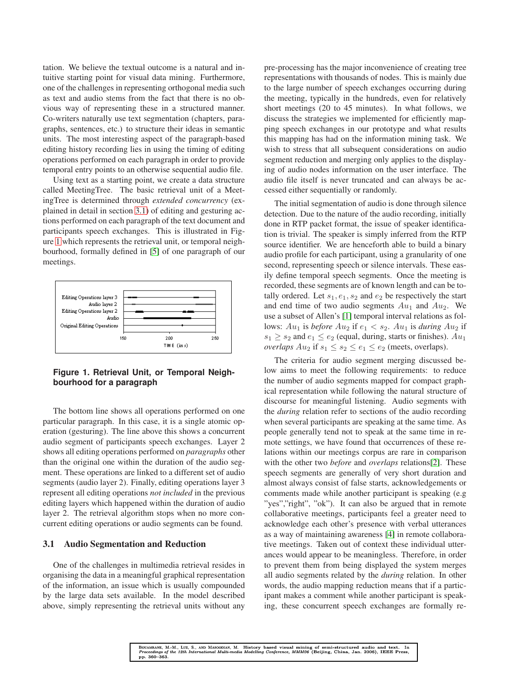tation. We believe the textual outcome is a natural and intuitive starting point for visual data mining. Furthermore, one of the challenges in representing orthogonal media such as text and audio stems from the fact that there is no obvious way of representing these in a structured manner. Co-writers naturally use text segmentation (chapters, paragraphs, sentences, etc.) to structure their ideas in semantic units. The most interesting aspect of the paragraph-based editing history recording lies in using the timing of editing operations performed on each paragraph in order to provide temporal entry points to an otherwise sequential audio file.

Using text as a starting point, we create a data structure called MeetingTree. The basic retrieval unit of a MeetingTree is determined through *extended concurrency* (explained in detail in section [3.1\)](#page-1-0) of editing and gesturing actions performed on each paragraph of the text document and participants speech exchanges. This is illustrated in Figure [1](#page-1-1) which represents the retrieval unit, or temporal neighbourhood, formally defined in [\[5\]](#page-3-4) of one paragraph of our meetings.



<span id="page-1-1"></span>**Figure 1. Retrieval Unit, or Temporal Neighbourhood for a paragraph**

The bottom line shows all operations performed on one particular paragraph. In this case, it is a single atomic operation (gesturing). The line above this shows a concurrent audio segment of participants speech exchanges. Layer 2 shows all editing operations performed on *paragraphs* other than the original one within the duration of the audio segment. These operations are linked to a different set of audio segments (audio layer 2). Finally, editing operations layer 3 represent all editing operations *not included* in the previous editing layers which happened within the duration of audio layer 2. The retrieval algorithm stops when no more concurrent editing operations or audio segments can be found.

#### <span id="page-1-0"></span>**3.1 Audio Segmentation and Reduction**

One of the challenges in multimedia retrieval resides in organising the data in a meaningful graphical representation of the information, an issue which is usually compounded by the large data sets available. In the model described above, simply representing the retrieval units without any

pre-processing has the major inconvenience of creating tree representations with thousands of nodes. This is mainly due to the large number of speech exchanges occurring during the meeting, typically in the hundreds, even for relatively short meetings (20 to 45 minutes). In what follows, we discuss the strategies we implemented for efficiently mapping speech exchanges in our prototype and what results this mapping has had on the information mining task. We wish to stress that all subsequent considerations on audio segment reduction and merging only applies to the displaying of audio nodes information on the user interface. The audio file itself is never truncated and can always be accessed either sequentially or randomly.

The initial segmentation of audio is done through silence detection. Due to the nature of the audio recording, initially done in RTP packet format, the issue of speaker identification is trivial. The speaker is simply inferred from the RTP source identifier. We are henceforth able to build a binary audio profile for each participant, using a granularity of one second, representing speech or silence intervals. These easily define temporal speech segments. Once the meeting is recorded, these segments are of known length and can be totally ordered. Let  $s_1, e_1, s_2$  and  $e_2$  be respectively the start and end time of two audio segments  $Au_1$  and  $Au_2$ . We use a subset of Allen's [\[1\]](#page-3-5) temporal interval relations as follows:  $Au_1$  is *before*  $Au_2$  if  $e_1 < s_2$ .  $Au_1$  is *during*  $Au_2$  if  $s_1 \geq s_2$  and  $e_1 \leq e_2$  (equal, during, starts or finishes).  $Au_1$ *overlaps*  $Au_2$  if  $s_1 \leq s_2 \leq e_1 \leq e_2$  (meets, overlaps).

The criteria for audio segment merging discussed below aims to meet the following requirements: to reduce the number of audio segments mapped for compact graphical representation while following the natural structure of discourse for meaningful listening. Audio segments with the *during* relation refer to sections of the audio recording when several participants are speaking at the same time. As people generally tend not to speak at the same time in remote settings, we have found that occurrences of these relations within our meetings corpus are rare in comparison with the other two *before* and *overlaps* relations[\[2\]](#page-3-2). These speech segments are generally of very short duration and almost always consist of false starts, acknowledgements or comments made while another participant is speaking (e.g "yes","right", "ok"). It can also be argued that in remote collaborative meetings, participants feel a greater need to acknowledge each other's presence with verbal utterances as a way of maintaining awareness [\[4\]](#page-3-6) in remote collaborative meetings. Taken out of context these individual utterances would appear to be meaningless. Therefore, in order to prevent them from being displayed the system merges all audio segments related by the *during* relation. In other words, the audio mapping reduction means that if a participant makes a comment while another participant is speaking, these concurrent speech exchanges are formally re-

BOUAMRANE, M.-M., LUZ, S., AND MASOODIAN, M. History based visual mining of semi-structured audio and text. In<br>*Proceedings of the 12th International Multi-media Modelling Conference, MMM06* (Beijing, China, Jan. 2006), I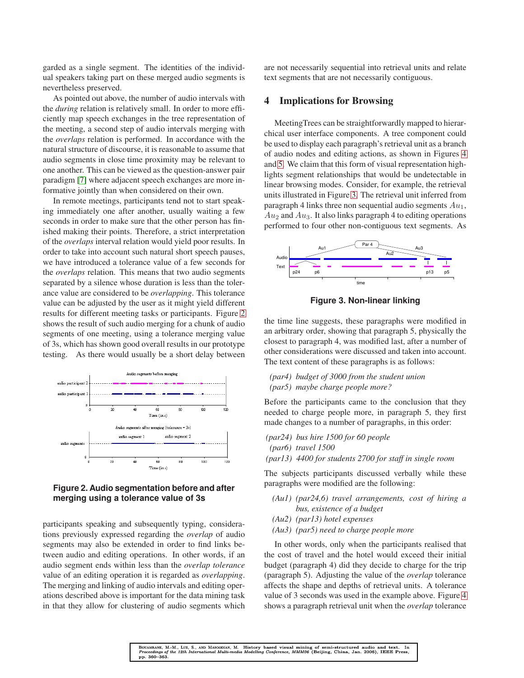garded as a single segment. The identities of the individual speakers taking part on these merged audio segments is nevertheless preserved.

As pointed out above, the number of audio intervals with the *during* relation is relatively small. In order to more efficiently map speech exchanges in the tree representation of the meeting, a second step of audio intervals merging with the *overlaps* relation is performed. In accordance with the natural structure of discourse, it is reasonable to assume that audio segments in close time proximity may be relevant to one another. This can be viewed as the question-answer pair paradigm [\[7\]](#page-3-1) where adjacent speech exchanges are more informative jointly than when considered on their own.

In remote meetings, participants tend not to start speaking immediately one after another, usually waiting a few seconds in order to make sure that the other person has finished making their points. Therefore, a strict interpretation of the *overlaps* interval relation would yield poor results. In order to take into account such natural short speech pauses, we have introduced a tolerance value of a few seconds for the *overlaps* relation. This means that two audio segments separated by a silence whose duration is less than the tolerance value are considered to be *overlapping*. This tolerance value can be adjusted by the user as it might yield different results for different meeting tasks or participants. Figure [2](#page-2-0) shows the result of such audio merging for a chunk of audio segments of one meeting, using a tolerance merging value of 3s, which has shown good overall results in our prototype testing. As there would usually be a short delay between



<span id="page-2-0"></span>**Figure 2. Audio segmentation before and after merging using a tolerance value of 3s**

participants speaking and subsequently typing, considerations previously expressed regarding the *overlap* of audio segments may also be extended in order to find links between audio and editing operations. In other words, if an audio segment ends within less than the *overlap tolerance* value of an editing operation it is regarded as *overlapping*. The merging and linking of audio intervals and editing operations described above is important for the data mining task in that they allow for clustering of audio segments which

are not necessarily sequential into retrieval units and relate text segments that are not necessarily contiguous.

#### **4 Implications for Browsing**

MeetingTrees can be straightforwardly mapped to hierarchical user interface components. A tree component could be used to display each paragraph's retrieval unit as a branch of audio nodes and editing actions, as shown in Figures [4](#page-3-7) and [5.](#page-3-8) We claim that this form of visual representation highlights segment relationships that would be undetectable in linear browsing modes. Consider, for example, the retrieval units illustrated in Figure [3.](#page-2-1) The retrieval unit inferred from paragraph 4 links three non sequential audio segments  $Au_1$ ,  $Au_2$  and  $Au_3$ . It also links paragraph 4 to editing operations performed to four other non-contiguous text segments. As



<span id="page-2-1"></span>**Figure 3. Non-linear linking**

the time line suggests, these paragraphs were modified in an arbitrary order, showing that paragraph 5, physically the closest to paragraph 4, was modified last, after a number of other considerations were discussed and taken into account. The text content of these paragraphs is as follows:

*(par4) budget of 3000 from the student union (par5) maybe charge people more?*

Before the participants came to the conclusion that they needed to charge people more, in paragraph 5, they first made changes to a number of paragraphs, in this order:

- *(par24) bus hire 1500 for 60 people*
- *(par6) travel 1500*
- *(par13) 4400 for students 2700 for staff in single room*

The subjects participants discussed verbally while these paragraphs were modified are the following:

- *(Au1) (par24,6) travel arrangements, cost of hiring a bus, existence of a budget*
- *(Au2) (par13) hotel expenses*
- *(Au3) (par5) need to charge people more*

In other words, only when the participants realised that the cost of travel and the hotel would exceed their initial budget (paragraph 4) did they decide to charge for the trip (paragraph 5). Adjusting the value of the *overlap* tolerance affects the shape and depths of retrieval units. A tolerance value of 3 seconds was used in the example above. Figure [4](#page-3-7) shows a paragraph retrieval unit when the *overlap* tolerance